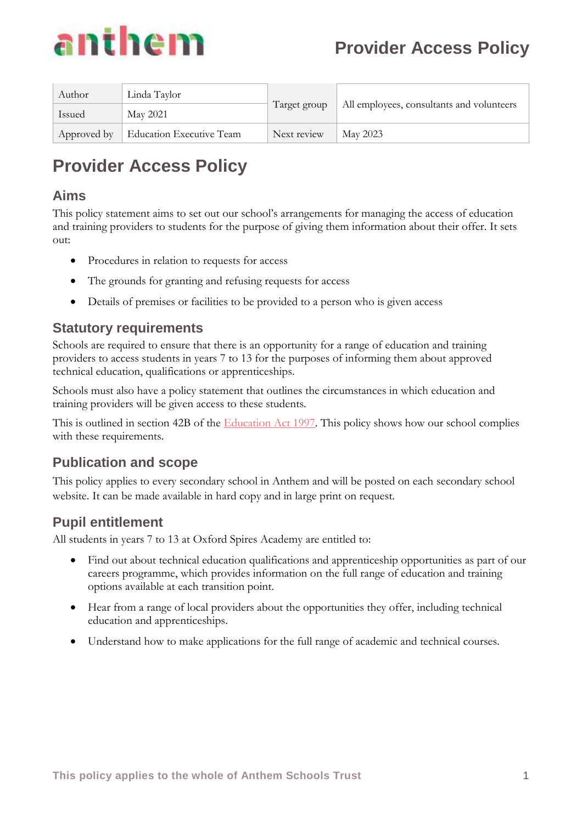

| Author      | Linda Taylor             |              | All employees, consultants and volunteers |
|-------------|--------------------------|--------------|-------------------------------------------|
| Issued      | May 2021                 | Target group |                                           |
| Approved by | Education Executive Team | Next review  | May 2023                                  |

# **Provider Access Policy**

#### **Aims**

This policy statement aims to set out our school's arrangements for managing the access of education and training providers to students for the purpose of giving them information about their offer. It sets out:

- Procedures in relation to requests for access
- The grounds for granting and refusing requests for access
- Details of premises or facilities to be provided to a person who is given access

#### **Statutory requirements**

Schools are required to ensure that there is an opportunity for a range of education and training providers to access students in years 7 to 13 for the purposes of informing them about approved technical education, qualifications or apprenticeships.

Schools must also have a policy statement that outlines the circumstances in which education and training providers will be given access to these students.

This is outlined in section 42B of the [Education Act 1997.](https://www.legislation.gov.uk/ukpga/1997/44/section/42B) This policy shows how our school complies with these requirements.

### **Publication and scope**

This policy applies to every secondary school in Anthem and will be posted on each secondary school website. It can be made available in hard copy and in large print on request.

# **Pupil entitlement**

All students in years 7 to 13 at Oxford Spires Academy are entitled to:

- Find out about technical education qualifications and apprenticeship opportunities as part of our careers programme, which provides information on the full range of education and training options available at each transition point.
- Hear from a range of local providers about the opportunities they offer, including technical education and apprenticeships.
- Understand how to make applications for the full range of academic and technical courses.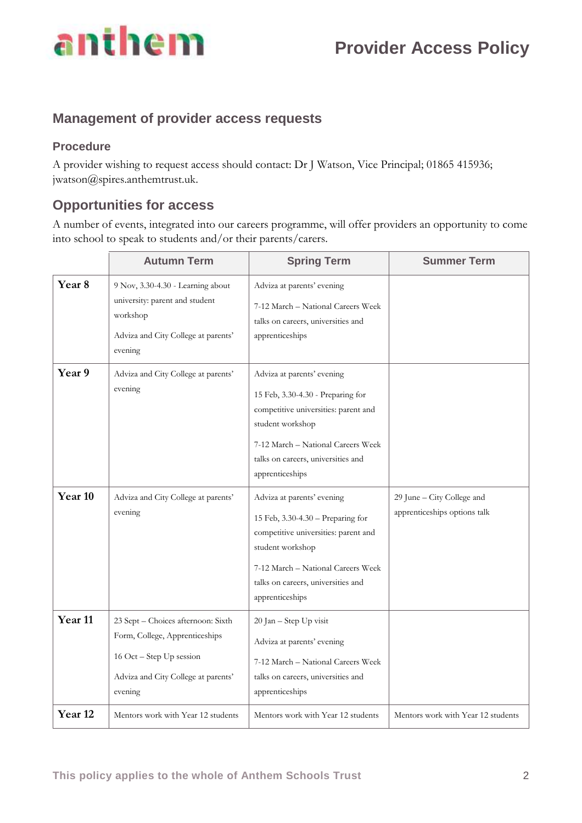

## **Management of provider access requests**

#### **Procedure**

A provider wishing to request access should contact: Dr J Watson, Vice Principal; 01865 415936; jwatson@spires.anthemtrust.uk.

#### **Opportunities for access**

A number of events, integrated into our careers programme, will offer providers an opportunity to come into school to speak to students and/or their parents/carers.

|                    | <b>Autumn Term</b>                                                                                                                                 | <b>Spring Term</b>                                                                                                                                                                                                         | <b>Summer Term</b>                                         |
|--------------------|----------------------------------------------------------------------------------------------------------------------------------------------------|----------------------------------------------------------------------------------------------------------------------------------------------------------------------------------------------------------------------------|------------------------------------------------------------|
| Year <sub>8</sub>  | 9 Nov, 3.30-4.30 - Learning about<br>university: parent and student<br>workshop<br>Adviza and City College at parents'<br>evening                  | Adviza at parents' evening<br>7-12 March - National Careers Week<br>talks on careers, universities and<br>apprenticeships                                                                                                  |                                                            |
| Year 9             | Adviza and City College at parents'<br>evening                                                                                                     | Adviza at parents' evening<br>15 Feb, 3.30-4.30 - Preparing for<br>competitive universities: parent and<br>student workshop<br>7-12 March - National Careers Week<br>talks on careers, universities and<br>apprenticeships |                                                            |
| Year 10            | Adviza and City College at parents'<br>evening                                                                                                     | Adviza at parents' evening<br>15 Feb, 3.30-4.30 - Preparing for<br>competitive universities: parent and<br>student workshop<br>7-12 March - National Careers Week<br>talks on careers, universities and<br>apprenticeships | 29 June - City College and<br>apprenticeships options talk |
| Year <sub>11</sub> | 23 Sept - Choices afternoon: Sixth<br>Form, College, Apprenticeships<br>16 Oct - Step Up session<br>Adviza and City College at parents'<br>evening | 20 Jan - Step Up visit<br>Adviza at parents' evening<br>7-12 March - National Careers Week<br>talks on careers, universities and<br>apprenticeships                                                                        |                                                            |
| Year <sub>12</sub> | Mentors work with Year 12 students                                                                                                                 | Mentors work with Year 12 students                                                                                                                                                                                         | Mentors work with Year 12 students                         |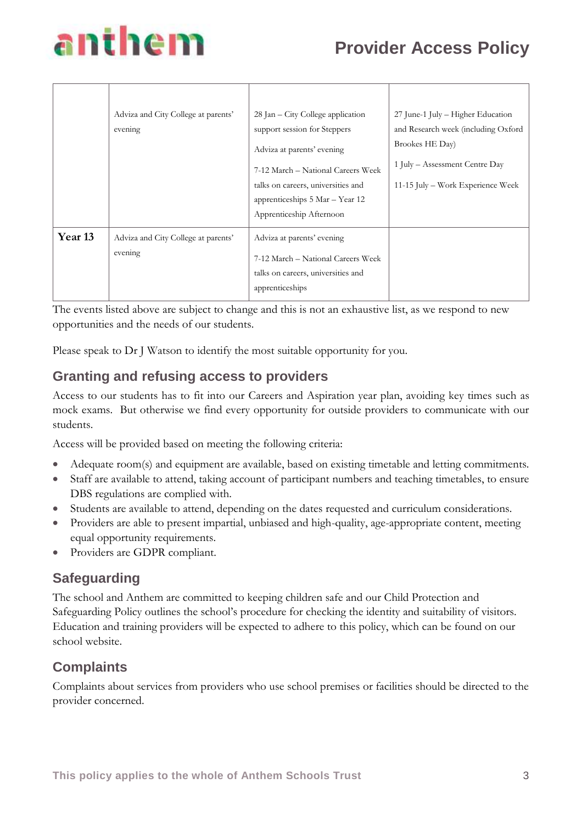# anthem

|                    | Adviza and City College at parents'<br>evening | 28 Jan – City College application<br>support session for Steppers<br>Adviza at parents' evening<br>7-12 March - National Careers Week<br>talks on careers, universities and<br>apprenticeships 5 Mar – Year 12<br>Apprenticeship Afternoon | 27 June-1 July – Higher Education<br>and Research week (including Oxford<br>Brookes HE Day)<br>1 July – Assessment Centre Day<br>11-15 July – Work Experience Week |
|--------------------|------------------------------------------------|--------------------------------------------------------------------------------------------------------------------------------------------------------------------------------------------------------------------------------------------|--------------------------------------------------------------------------------------------------------------------------------------------------------------------|
| Year <sub>13</sub> | Adviza and City College at parents'<br>evening | Adviza at parents' evening<br>7-12 March - National Careers Week<br>talks on careers, universities and<br>apprenticeships                                                                                                                  |                                                                                                                                                                    |

The events listed above are subject to change and this is not an exhaustive list, as we respond to new opportunities and the needs of our students.

Please speak to Dr J Watson to identify the most suitable opportunity for you.

# **Granting and refusing access to providers**

Access to our students has to fit into our Careers and Aspiration year plan, avoiding key times such as mock exams. But otherwise we find every opportunity for outside providers to communicate with our students.

Access will be provided based on meeting the following criteria:

- Adequate room(s) and equipment are available, based on existing timetable and letting commitments.
- Staff are available to attend, taking account of participant numbers and teaching timetables, to ensure DBS regulations are complied with.
- Students are available to attend, depending on the dates requested and curriculum considerations.
- Providers are able to present impartial, unbiased and high-quality, age-appropriate content, meeting equal opportunity requirements.
- Providers are GDPR compliant.

# **Safeguarding**

The school and Anthem are committed to keeping children safe and our Child Protection and Safeguarding Policy outlines the school's procedure for checking the identity and suitability of visitors. Education and training providers will be expected to adhere to this policy, which can be found on our school website.

# **Complaints**

Complaints about services from providers who use school premises or facilities should be directed to the provider concerned.